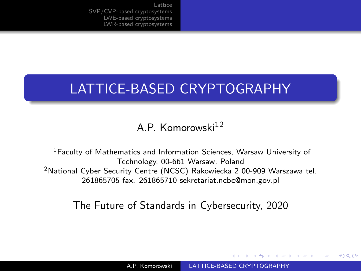# <span id="page-0-0"></span>LATTICE-BASED CRYPTOGRAPHY

A.P. Komorowski<sup>12</sup>

<sup>1</sup>Faculty of Mathematics and Information Sciences, Warsaw University of Technology, 00-661 Warsaw, Poland <sup>2</sup>National Cyber Security Centre (NCSC) Rakowiecka 2 00-909 Warszawa tel. 261865705 fax. 261865710 sekretariat.ncbc@mon.gov.pl

The Future of Standards in Cybersecurity, 2020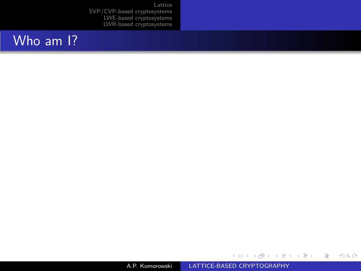# Who am 1?

A.P. Komorowski [LATTICE-BASED CRYPTOGRAPHY](#page-0-0)

メロメ メ部メ メミメ メミメ

目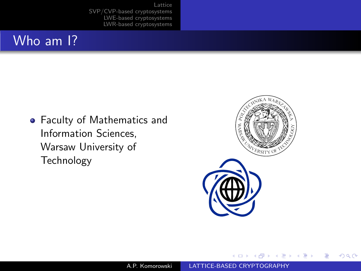# Who am I?

Faculty of Mathematics and Information Sciences, Warsaw University of Technology



つくへ

∍

a.  $\Box$   $\sim$ - 4 三 ∍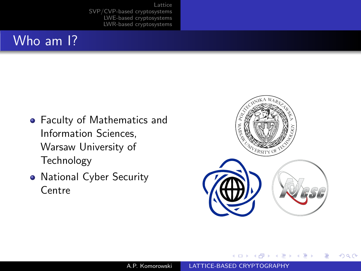# Who am I?

- Faculty of Mathematics and Information Sciences, Warsaw University of Technology
- National Cyber Security **Centre**



造  $\sim$ 

 $QQ$ 

 $\Box$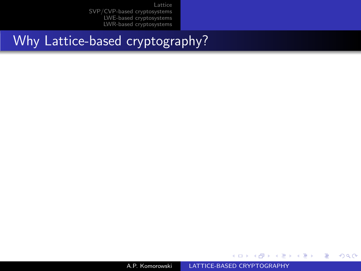Why Lattice-based cryptography?

A.P. Komorowski [LATTICE-BASED CRYPTOGRAPHY](#page-0-0)

 $\leftarrow$ 

 $\sim$ -41

同

→ す唐\* す唐\*

È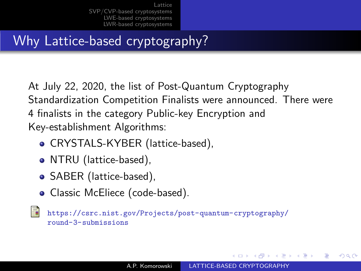# <span id="page-5-0"></span>Why Lattice-based cryptography?

At July 22, 2020, the list of Post-Quantum Cryptography Standardization Competition Finalists were announced. There were 4 finalists in the category Public-key Encryption and Key-establishment Algorithms:

- CRYSTALS-KYBER (lattice-based),
- NTRU (lattice-based),
- SABER (lattice-based),
- Classic McEliece (code-based).

ā.

[https://csrc.nist.gov/Projects/post-quantum-cryptography/](https://csrc.nist.gov/Projects/post-quantum-cryptography/round-3-submissions) [round-3-submissions](https://csrc.nist.gov/Projects/post-quantum-cryptography/round-3-submissions)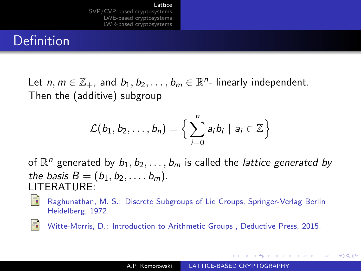# <span id="page-6-0"></span>Definition

Let  $n, m \in \mathbb{Z}_+$ , and  $b_1, b_2, \ldots, b_m \in \mathbb{R}^n$ - linearly independent. Then the (additive) subgroup

$$
\mathcal{L}(b_1, b_2, \ldots, b_n) = \Big\{\sum_{i=0}^n a_i b_i \mid a_i \in \mathbb{Z}\Big\}
$$

of  $\mathbb{R}^n$  generated by  $b_1, b_2, \ldots, b_m$  is called the *lattice generated by* the basis  $B = (b_1, b_2, ..., b_m)$ . LITERATURE:



Raghunathan, M. S.: Discrete Subgroups of Lie Groups, Springer-Verlag Berlin Heidelberg, 1972.

螶

Witte-Morris, D.: Introduction to Arithmetic Groups , Deductive Press, 2015.

 $\mathcal{A}$  and  $\mathcal{A}$  in the set of  $\mathbb{R}$  is a set of  $\mathbb{R}$  is a set of  $\mathbb{R}$  is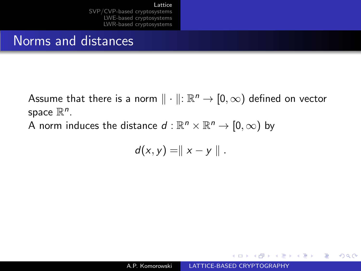## Norms and distances

Assume that there is a norm  $\|\cdot\| \colon \mathbb{R}^n \to [0,\infty)$  defined on vector space  $\mathbb{R}^n$ .

A norm induces the distance  $d: \mathbb{R}^n \times \mathbb{R}^n \to [0, \infty)$  by

$$
d(x,y)=\parallel x-y\parallel.
$$

∢何 ▶ ∢ ヨ ▶ ∢ ヨ ▶

 $\Omega$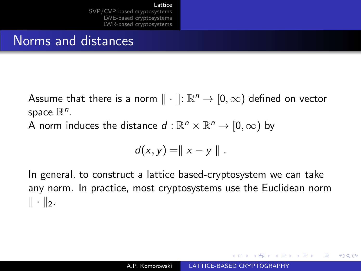## Norms and distances

Assume that there is a norm  $\|\cdot\| \colon \mathbb{R}^n \to [0,\infty)$  defined on vector space  $\mathbb{R}^n$ . A norm induces the distance  $d: \mathbb{R}^n \times \mathbb{R}^n \to [0, \infty)$  by

$$
d(x,y)=\parallel x-y\parallel.
$$

In general, to construct a lattice based-cryptosystem we can take any norm. In practice, most cryptosystems use the Euclidean norm  $\|\cdot\|_2$ .

A & Y B & Y B &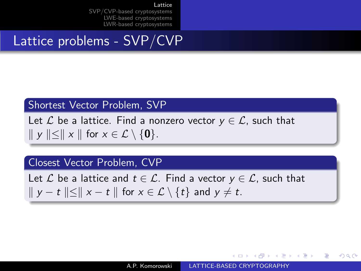Lattice problems - SVP/CVP

#### Shortest Vector Problem, SVP

Let  $\mathcal L$  be a lattice. Find a nonzero vector  $y \in \mathcal L$ , such that  $\|y\| \leq \|x\|$  for  $x \in \mathcal{L} \setminus \{0\}.$ 

#### Closest Vector Problem, CVP

Let  $\mathcal L$  be a lattice and  $t \in \mathcal L$ . Find a vector  $y \in \mathcal L$ , such that  $\|y - t\| \leq \|x - t\|$  for  $x \in \mathcal{L} \setminus \{t\}$  and  $y \neq t$ .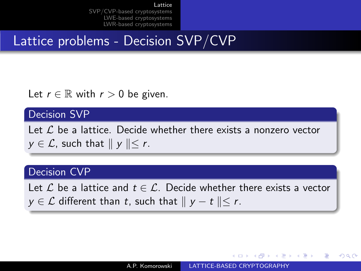# Lattice problems - Decision SVP/CVP

Let  $r \in \mathbb{R}$  with  $r > 0$  be given.

#### Decision SVP

Let  $\mathcal L$  be a lattice. Decide whether there exists a nonzero vector  $y \in \mathcal{L}$ , such that  $||y|| \leq r$ .

#### Decision CVP

Let L be a lattice and  $t \in \mathcal{L}$ . Decide whether there exists a vector  $y \in \mathcal{L}$  different than t, such that  $||y - t|| \leq r$ .

**Adviev**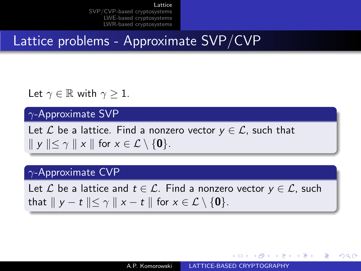# <span id="page-11-0"></span>Lattice problems - Approximate SVP/CVP

Let  $\gamma \in \mathbb{R}$  with  $\gamma \geq 1$ .

#### $\gamma$ -Approximate SVP

Let  $\mathcal L$  be a lattice. Find a nonzero vector  $y \in \mathcal L$ , such that  $\parallel y \parallel \leq \gamma \parallel x \parallel$  for  $x \in \mathcal{L} \setminus \{0\}.$ 

#### $\gamma$ -Approximate CVP

Let  $\mathcal L$  be a lattice and  $t \in \mathcal L$ . Find a nonzero vector  $y \in \mathcal L$ , such that  $||y - t|| \leq \gamma ||x - t||$  for  $x \in \mathcal{L} \setminus \{0\}.$ 

→ (何) → (日) → (日) →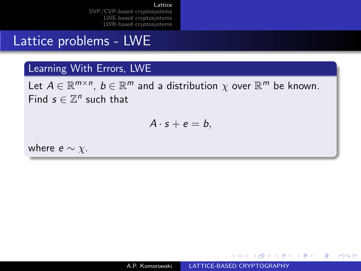# <span id="page-12-0"></span>Lattice problems - LWE

### Learning With Errors, LWE

Let  $A \in \mathbb{R}^{m \times n}$ ,  $b \in \mathbb{R}^m$  and a distribution  $\chi$  over  $\mathbb{R}^m$  be known. Find  $s \in \mathbb{Z}^n$  such that

$$
A\cdot s+e=b,
$$

where  $e \sim \chi$ .

∢ ロ ⊁ ( 何 ) ( ミ ) ( ミ ) ( ニ )

э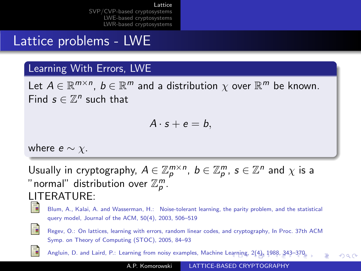# <span id="page-13-0"></span>Lattice problems - LWE

### Learning With Errors, LWE

Let  $A \in \mathbb{R}^{m \times n}$ ,  $b \in \mathbb{R}^m$  and a distribution  $\chi$  over  $\mathbb{R}^m$  be known. Find  $s \in \mathbb{Z}^n$  such that

$$
A\cdot s+e=b,
$$

where  $e \sim \chi$ .

Usually in cryptography,  $A \in \mathbb{Z}_p^{m \times n}$ ,  $b \in \mathbb{Z}_p^m$ ,  $s \in \mathbb{Z}^n$  and  $\chi$  is a " normal" distribution over  $\mathbb{Z}_p^m.$ LITERATURE:



Blum, A., Kalai, A. and Wasserman, H.: Noise-tolerant learning, the parity problem, and the statistical query model, Journal of the ACM, 50(4), 2003, 506–519



Regev, O.: On lattices, learning with errors, random linear codes, and cryptography, In Proc. 37th ACM Symp. on Theory of Computing (STOC), 2005, 84–93

Angluin, D. and Laird, P.: L[earn](#page-12-0)ing from noisy examples, Machine Learni[ng,](#page-14-0) [2\(](#page-11-0)[4\)](#page-12-0)[,](#page-6-0) [19](#page-14-0)[88](#page-5-0), [34](#page-14-0)3-[37](#page-5-0)[0](#page-6-0)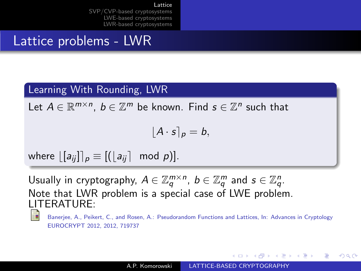# <span id="page-14-0"></span>Lattice problems - LWR

### Learning With Rounding, LWR

Let  $A \in \mathbb{R}^{m \times n}$ ,  $b \in \mathbb{Z}^m$  be known. Find  $s \in \mathbb{Z}^n$  such that

$$
\lfloor A\cdot s\rceil_p=b,
$$

where  $[[a_{ii}]_p \equiv [([a_{ii}] \mod p)]$ .

Usually in cryptography,  $A \in \mathbb{Z}_q^{m \times n}$ ,  $b \in \mathbb{Z}_q^m$  and  $s \in \mathbb{Z}_q^n$ . Note that LWR problem is a special case of LWE problem. LITERATURE:

Baneriee, A., Peikert, C., and Rosen, A.: Pseudorandom Functions and Lattices, In: Advances in Cryptology EUROCRYPT 2012, 2012, 719737

→ イラン イヨン イラン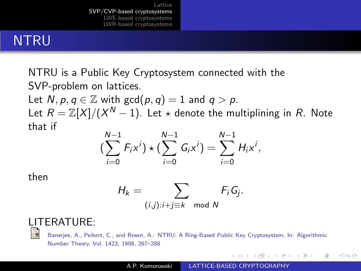# <span id="page-15-0"></span>NTRU

NTRU is a Public Key Cryptosystem connected with the SVP-problem on lattices. Let  $N, p, q \in \mathbb{Z}$  with  $gcd(p, q) = 1$  and  $q > p$ . Let  $R=\mathbb{Z}[X]/(X^N-1).$  Let  $\star$  denote the multiplining in  $R.$  Note that if

$$
\left(\sum_{i=0}^{N-1} F_i x^i\right) \star \left(\sum_{i=0}^{N-1} G_i x^i\right) = \sum_{i=0}^{N-1} H_i x^i,
$$

then

$$
H_k = \sum_{(i,j): i+j \equiv k \mod N} F_i G_j.
$$

## LITERATURE:

Banerjee, A., Peikert, C., and Rosen, A.: NTRU: A Ring-Based Public Key Cryptosystem, In: Algorithmic Number Theory. Vol. 1423, 1998, 267–288

∢ロト ∢母ト ∢ヨト ∢ヨト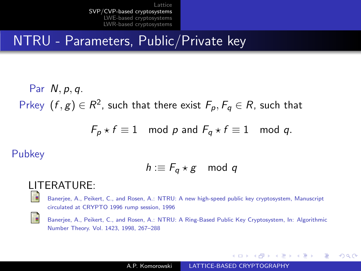# NTRU - Parameters, Public/Private key

Par N, p, q. Prkey  $(f,g)\in R^2$ , such that there exist  $F_p,F_q\in R$ , such that

$$
F_p \star f \equiv 1 \mod p \text{ and } F_q \star f \equiv 1 \mod q.
$$

Pubkey

$$
h: \equiv F_q \star g \mod q
$$

#### LITERATURE:

螶

螶

Banerjee, A., Peikert, C., and Rosen, A.: NTRU: A new high-speed public key cryptosystem, Manuscript circulated at CRYPTO 1996 rump session, 1996

Banerjee, A., Peikert, C., and Rosen, A.: NTRU: A Ring-Based Public Key Cryptosystem, In: Algorithmic Number Theory. Vol. 1423, 1998, 267–288

4 17 18

∢何 ▶ ∢ ヨ ▶ ∢ ヨ ▶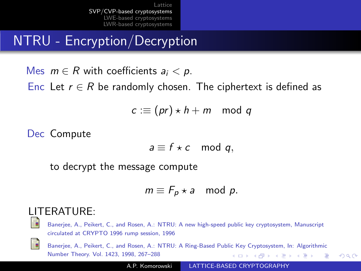NTRU - Encryption/Decryption

Mes  $m \in R$  with coefficients  $a_i < p$ . Enc Let  $r \in R$  be randomly chosen. The ciphertext is defined as

 $c := (pr) \star h + m \mod q$ 

Dec Compute

$$
a \equiv f \star c \mod q,
$$

to decrypt the message compute

$$
m \equiv F_p \star a \mod p.
$$

### LITERATURE:

晶

Banerjee, A., Peikert, C., and Rosen, A.: NTRU: A new high-speed public key cryptosystem, Manuscript circulated at CRYPTO 1996 rump session, 1996



Banerjee, A., Peikert, C., and Rosen, A.: NTRU: A Ring-Based Public Key Cryptosystem, In: Algorithmic Number Theory. Vol. 1423, 1998, 267–288 ∢ ロ ▶ ( 何 ) ( 《 手 ) ( く手 ) ( ) 重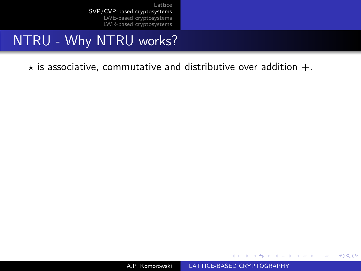# NTRU - Why NTRU works?

 $\star$  is associative, commutative and distributive over addition  $+$ .

4 17 18

→ イ冊 ▶ → ヨ ▶ → ヨ ▶ →

 $299$ 

э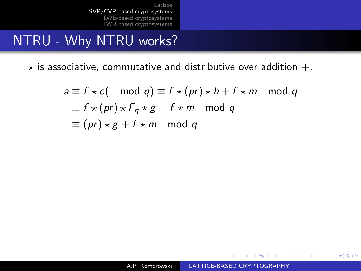# NTRU - Why NTRU works?

 $\star$  is associative, commutative and distributive over addition  $+$ .

$$
a \equiv f \star c \pmod{q} \equiv f \star (pr) \star h + f \star m \mod q
$$
  
\n
$$
\equiv f \star (pr) \star F_q \star g + f \star m \mod q
$$
  
\n
$$
\equiv (pr) \star g + f \star m \mod q
$$

メロト メ母 トメ ミト メ ヨ トー

 $299$ 

э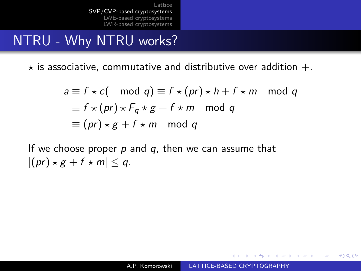# NTRU - Why NTRU works?

 $\star$  is associative, commutative and distributive over addition  $+$ .

$$
a \equiv f \star c \pmod{q} \equiv f \star (pr) \star h + f \star m \mod q
$$
  
\n
$$
\equiv f \star (pr) \star F_q \star g + f \star m \mod q
$$
  
\n
$$
\equiv (pr) \star g + f \star m \mod q
$$

If we choose proper  $p$  and  $q$ , then we can assume that  $|(pr) \star g + f \star m| \leq q.$ 

- 4 重 8 - 4 重 8

 $\Omega$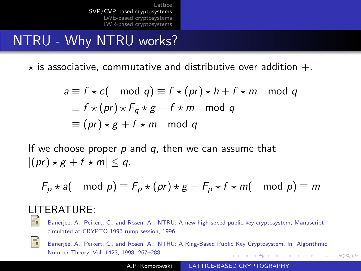# <span id="page-21-0"></span>NTRU - Why NTRU works?

 $\star$  is associative, commutative and distributive over addition  $+$ .

$$
a \equiv f \star c \pmod{q} \equiv f \star (pr) \star h + f \star m \mod q
$$
  
\n
$$
\equiv f \star (pr) \star F_q \star g + f \star m \mod q
$$
  
\n
$$
\equiv (pr) \star g + f \star m \mod q
$$

If we choose proper  $p$  and  $q$ , then we can assume that  $|(pr) \star g + f \star m| \leq q.$ 

$$
F_p \star a \text{(mod } p) \equiv F_p \star (pr) \star g + F_p \star f \star m \text{(mod } p) \equiv m
$$

# LITERATURE:<br>El Banerier A Peike

Banerjee, A., Peikert, C., and Rosen, A.: NTRU: A new high-speed public key cryptosystem, Manuscript circulated at CRYPTO 1996 rump session, 1996



Banerjee, A., Peikert, C., and Rosen, A.: NTRU: A Ring-Based Public Key Cryptosystem, In: Algorithmic Number Theory. Vol. 1423, 1998, 267–288 ∢ ロ ▶ ( 何 ▶ ( 手 ▶ ( 手 ) .

 $\Omega$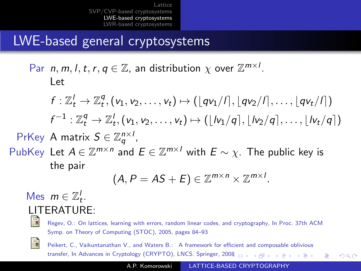# <span id="page-22-0"></span>LWE-based general cryptosystems

Par  $n, m, l, t, r, q \in \mathbb{Z}$ , an distribution  $\chi$  over  $\mathbb{Z}^{m \times l}$ . Let

$$
f: \mathbb{Z}_t^l \to \mathbb{Z}_t^q, (v_1, v_2, \ldots, v_t) \mapsto (\lfloor qv_1/l \rfloor, \lfloor qv_2/l \rfloor, \ldots, \lfloor qv_t/l \rfloor)
$$
  

$$
f^{-1}: \mathbb{Z}_t^q \to \mathbb{Z}_t^l, (v_1, v_2, \ldots, v_t) \mapsto (\lfloor lv_1/q \rfloor, \lfloor lv_2/q \rfloor, \ldots, \lfloor lv_t/q \rfloor)
$$

PrKey A matrix  $S \in \mathbb{Z}_q^{n \times l}$ ,

PubKey Let  $A \in \mathbb{Z}^{m \times n}$  and  $E \in \mathbb{Z}^{m \times l}$  with  $E \sim \chi$ . The public key is the pair

$$
(A, P = AS + E) \in \mathbb{Z}^{m \times n} \times \mathbb{Z}^{m \times l}.
$$

## Mes  $m \in \mathbb{Z}_t^l$ . LITERATURE:

Regev, O.: On lattices, learning with errors, random linear codes, and cryptography, In Proc. 37th ACM Symp. on Theory of Computing (STOC), 2005, pages 84–93



譶

Peikert, C., Vaikuntanathan V., and Waters B.: A framework for efficient and composable oblivious transfer, In Advances in Cryptology (CRYPTO), LNCS. Springer, 20[08](#page-21-0)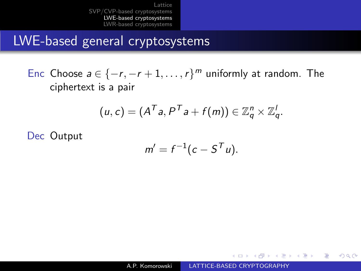<span id="page-23-0"></span>LWE-based general cryptosystems

Enc Choose  $a \in \{-r, -r+1, \ldots, r\}^m$  uniformly at random. The ciphertext is a pair

$$
(u, c) = (A^T a, P^T a + f(m)) \in \mathbb{Z}_q^n \times \mathbb{Z}_q^l.
$$

Dec Output

$$
m'=f^{-1}(c-S^Tu).
$$

 $x = x$ 

一 4 三 下

 $\Omega$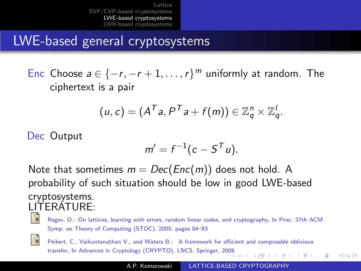LWE-based general cryptosystems

Enc Choose  $a \in \{-r, -r+1, \ldots, r\}^m$  uniformly at random. The ciphertext is a pair

$$
(u,c)=(A^T a, P^T a + f(m)) \in \mathbb{Z}_q^n \times \mathbb{Z}_q^l.
$$

Dec Output

$$
m'=f^{-1}(c-S^Tu).
$$

Note that sometimes  $m = Dec(Enc(m))$  does not hold. A probability of such situation should be low in good LWE-based cryptosystems. LITERATURE:

Regev, O.: On lattices, learning with errors, random linear codes, and cryptography, In Proc. 37th ACM Symp. on Theory of Computing (STOC), 2005, pages 84–93



Peikert, C., Vaikuntanathan V., and Waters B.: A framework for efficient and composable oblivious transfer, In Advances in Cryptology (CRYPTO), LNCS. Springer, 20[08](#page-23-0)

 $\Omega$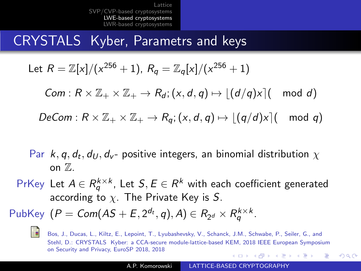# CRYSTALS Kyber, Parametrs and keys

Let 
$$
R = \mathbb{Z}[x]/(x^{256} + 1)
$$
,  $R_q = \mathbb{Z}_q[x]/(x^{256} + 1)$ 

 $Com: R \times \mathbb{Z}_+ \times \mathbb{Z}_+ \to R_d$ ;  $(x, d, q) \mapsto |(d/q)x|$  mod d)

 $DeCom: R \times \mathbb{Z}_+ \times \mathbb{Z}_+ \to R_{\alpha}$ ;  $(x, d, q) \mapsto |(q/d)x|$  mod q)

- Par  $k, q, d_t, d_U, d_{\nu}$  positive integers, an binomial distribution  $\chi$ on  $\mathbb{Z}$ .
- PrKey Let  $A \in R_{q}^{k \times k}$ , Let  $\mathcal{S}, E \in R^{k}$  with each coefficient generated according to  $\chi$ . The Private Key is S.

PubKey  $(P = Com(AS + E, 2^{d_t}, q), A) \in R_{2^d} \times R_q^{k \times k}$ .



Bos, J., Ducas, L., Kiltz, E., Lepoint, T., Lyubashevsky, V., Schanck, J.M., Schwabe, P., Seiler, G., and Stehl, D.: CRYSTALS Kyber: a CCA-secure module-lattice-based KEM, 2018 IEEE European Symposium on Security and Privacy, EuroSP 2018, 2018 - スート スート スート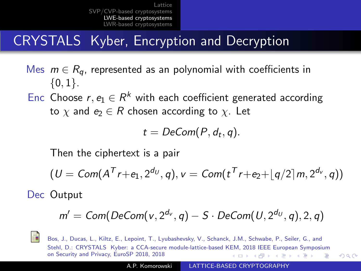# <span id="page-26-0"></span>CRYSTALS Kyber, Encryption and Decryption

Mes  $m \in R_{a}$ , represented as an polynomial with coefficients in  $\{0,1\}.$ 

Enc Choose  $r, e_1 \in R^k$  with each coefficient generated according to  $\chi$  and  $e_2 \in R$  chosen according to  $\chi$ . Let

$$
t = DeCom(P, d_t, q).
$$

Then the ciphertext is a pair

$$
(U = Com(AT r + e1, 2dU, q), v = Com(tT r + e2 + \lfloor q/2 \rfloor m, 2dv, q))
$$

Dec Output

$$
m' = \textit{Com}(\textit{DeCom}(v, 2^{d_v}, q) - S \cdot \textit{DeCom}(U, 2^{d_U}, q), 2, q)
$$



Bos, J., Ducas, L., Kiltz, E., Lepoint, T., Lyubashevsky, V., Schanck, J.M., Schwabe, P., Seiler, G., and Stehl, D.: CRYSTALS Kyber: a CCA-secure module-lattice-based KEM, 2018 IEEE European Symposium on Security and Privacy, EuroSP 2018, 2018 イロメ イ母メ イヨメ イヨメー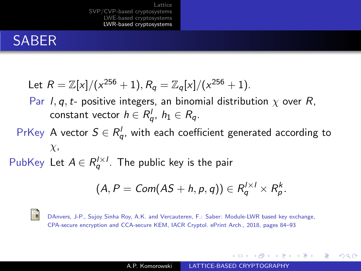# <span id="page-27-0"></span>SABER

Let 
$$
R = \mathbb{Z}[x]/(x^{256} + 1), R_q = \mathbb{Z}_q[x]/(x^{256} + 1).
$$

Par *I*, *q*, *t*- positive integers, an binomial distribution  $\chi$  over *R*, constant vector  $h \in R_q^l, \ h_1 \in R_q.$ 

PrKey A vector 
$$
S \in R_q^l
$$
, with each coefficient generated according to  $\chi$ ,

PubKey Let  $A \in R_q^{l \times l}$ . The public key is the pair

$$
(A, P = Com(AS + h, p, q)) \in R_q^{1 \times 1} \times R_p^k.
$$

譶

DAnvers, J-P., Sujoy Sinha Roy, A.K. and Vercauteren, F.: Saber: Module-LWR based key exchange, CPA-secure encryption and CCA-secure KEM, IACR Cryptol. ePrint Arch., 2018, pages 84–93

∢何 ▶ ∢ ヨ ▶ ∢ ヨ ▶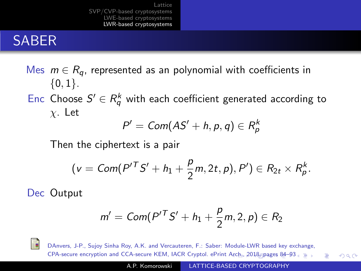# <span id="page-28-0"></span>SABER

## Mes  $m \in R_{a}$ , represented as an polynomial with coefficients in  ${0, 1}.$

Enc Choose  $S' \in R_q^k$  with each coefficient generated according to  $\chi$ . Let

$$
P' = Com(AS' + h, p, q) \in R_p^k
$$

Then the ciphertext is a pair

$$
(v = \text{Com}(P'^T S' + h_1 + \frac{p}{2}m, 2t, p), P') \in R_{2t} \times R_p^k.
$$

Dec Output

$$
m' = \text{Com}(P'^T S' + h_1 + \frac{p}{2}m, 2, p) \in R_2
$$



DAnvers, J-P., Sujoy Sinha Roy, A.K. and Vercauteren, F.: Saber: Module-LWR based key exchange, CPA-secure encryption and CCA-secure KEM, IACR Cryptol. ePrint [Arch](#page-27-0).[, 2](#page-29-0)[01](#page-27-0)[8, p](#page-28-0)[ag](#page-29-0)[es](#page-21-0) [8](#page-22-0)[4–](#page-26-0)[93](#page-27-0) つくへ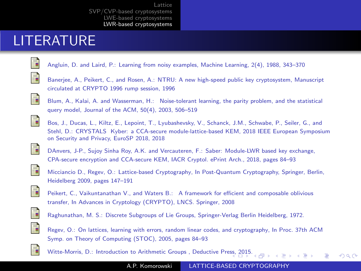# <span id="page-29-0"></span>LITERATURE

Angluin, D. and Laird, P.: Learning from noisy examples, Machine Learning, 2(4), 1988, 343–370



Banerjee, A., Peikert, C., and Rosen, A.: NTRU: A new high-speed public key cryptosystem, Manuscript circulated at CRYPTO 1996 rump session, 1996



Blum, A., Kalai, A. and Wasserman, H.: Noise-tolerant learning, the parity problem, and the statistical query model, Journal of the ACM, 50(4), 2003, 506–519



Bos, J., Ducas, L., Kiltz, E., Lepoint, T., Lyubashevsky, V., Schanck, J.M., Schwabe, P., Seiler, G., and Stehl, D.: CRYSTALS Kyber: a CCA-secure module-lattice-based KEM, 2018 IEEE European Symposium on Security and Privacy, EuroSP 2018, 2018



DAnvers, J-P., Sujoy Sinha Roy, A.K. and Vercauteren, F.: Saber: Module-LWR based key exchange, CPA-secure encryption and CCA-secure KEM, IACR Cryptol. ePrint Arch., 2018, pages 84–93



Micciancio D., Regev, O.: Lattice-based Cryptography, In Post-Quantum Cryptography, Springer, Berlin, Heidelberg 2009, pages 147–191



Peikert, C., Vaikuntanathan V., and Waters B.: A framework for efficient and composable oblivious transfer, In Advances in Cryptology (CRYPTO), LNCS. Springer, 2008



Raghunathan, M. S.: Discrete Subgroups of Lie Groups, Springer-Verlag Berlin Heidelberg, 1972.



ĒΓ

Regev, O.: On lattices, learning with errors, random linear codes, and cryptography, In Proc. 37th ACM Symp. on Theory of Computing (STOC), 2005, pages 84–93